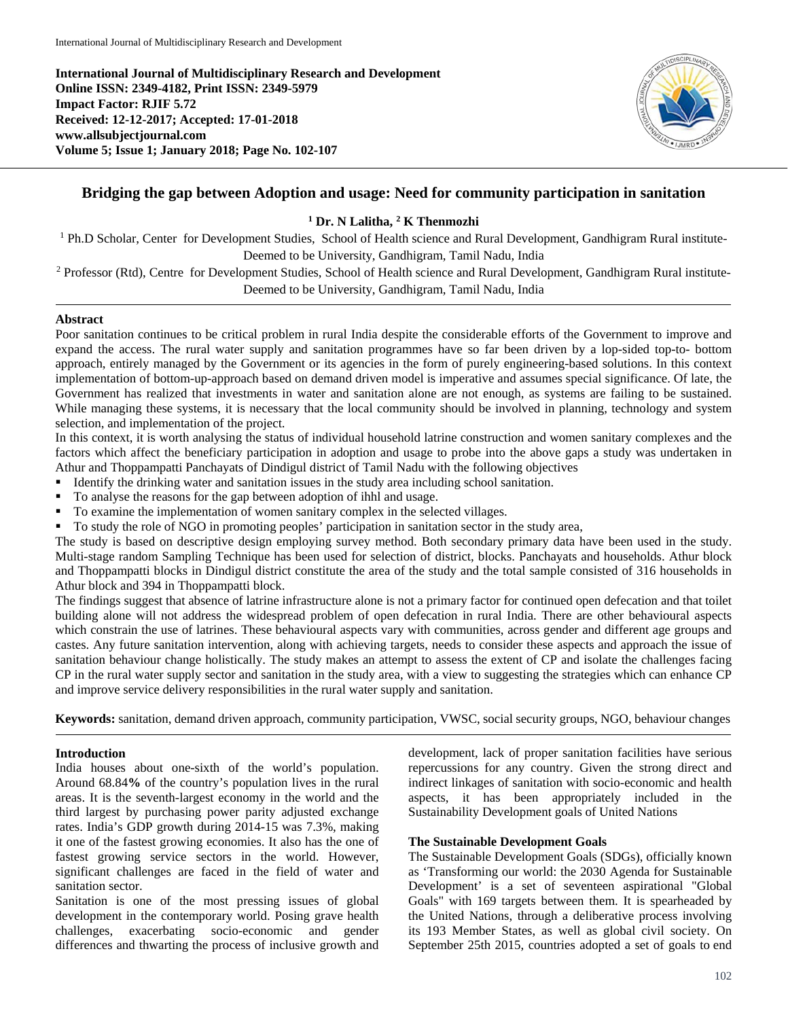**International Journal of Multidisciplinary Research and Development Online ISSN: 2349-4182, Print ISSN: 2349-5979 Impact Factor: RJIF 5.72 Received: 12-12-2017; Accepted: 17-01-2018 www.allsubjectjournal.com Volume 5; Issue 1; January 2018; Page No. 102-107**



# **Bridging the gap between Adoption and usage: Need for community participation in sanitation**

## **<sup>1</sup> Dr. N Lalitha, 2 K Thenmozhi**

<sup>1</sup> Ph.D Scholar, Center for Development Studies, School of Health science and Rural Development, Gandhigram Rural institute-Deemed to be University, Gandhigram, Tamil Nadu, India

<sup>2</sup> Professor (Rtd), Centre for Development Studies, School of Health science and Rural Development, Gandhigram Rural institute-Deemed to be University, Gandhigram, Tamil Nadu, India

#### **Abstract**

Poor sanitation continues to be critical problem in rural India despite the considerable efforts of the Government to improve and expand the access. The rural water supply and sanitation programmes have so far been driven by a lop-sided top-to- bottom approach, entirely managed by the Government or its agencies in the form of purely engineering-based solutions. In this context implementation of bottom-up-approach based on demand driven model is imperative and assumes special significance. Of late, the Government has realized that investments in water and sanitation alone are not enough, as systems are failing to be sustained. While managing these systems, it is necessary that the local community should be involved in planning, technology and system selection, and implementation of the project.

In this context, it is worth analysing the status of individual household latrine construction and women sanitary complexes and the factors which affect the beneficiary participation in adoption and usage to probe into the above gaps a study was undertaken in Athur and Thoppampatti Panchayats of Dindigul district of Tamil Nadu with the following objectives

- Identify the drinking water and sanitation issues in the study area including school sanitation.
- To analyse the reasons for the gap between adoption of ihhl and usage.
- To examine the implementation of women sanitary complex in the selected villages.
- To study the role of NGO in promoting peoples' participation in sanitation sector in the study area,

The study is based on descriptive design employing survey method. Both secondary primary data have been used in the study. Multi-stage random Sampling Technique has been used for selection of district, blocks. Panchayats and households. Athur block and Thoppampatti blocks in Dindigul district constitute the area of the study and the total sample consisted of 316 households in Athur block and 394 in Thoppampatti block.

The findings suggest that absence of latrine infrastructure alone is not a primary factor for continued open defecation and that toilet building alone will not address the widespread problem of open defecation in rural India. There are other behavioural aspects which constrain the use of latrines. These behavioural aspects vary with communities, across gender and different age groups and castes. Any future sanitation intervention, along with achieving targets, needs to consider these aspects and approach the issue of sanitation behaviour change holistically. The study makes an attempt to assess the extent of CP and isolate the challenges facing CP in the rural water supply sector and sanitation in the study area, with a view to suggesting the strategies which can enhance CP and improve service delivery responsibilities in the rural water supply and sanitation.

**Keywords:** sanitation, demand driven approach, community participation, VWSC, social security groups, NGO, behaviour changes

## **Introduction**

India houses about one-sixth of the world's population. Around 68.84**%** of the country's population lives in the rural areas. It is the seventh-largest economy in the world and the third largest by purchasing power parity adjusted exchange rates. India's GDP growth during 2014-15 was 7.3%, making it one of the fastest growing economies. It also has the one of fastest growing service sectors in the world. However, significant challenges are faced in the field of water and sanitation sector.

Sanitation is one of the most pressing issues of global development in the contemporary world. Posing grave health challenges, exacerbating socio-economic and gender differences and thwarting the process of inclusive growth and

development, lack of proper sanitation facilities have serious repercussions for any country. Given the strong direct and indirect linkages of sanitation with socio-economic and health aspects, it has been appropriately included in the Sustainability Development goals of United Nations

## **The Sustainable Development Goals**

The Sustainable Development Goals (SDGs), officially known as 'Transforming our world: the 2030 Agenda for Sustainable Development' is a set of seventeen aspirational "Global Goals" with 169 targets between them. It is spearheaded by the United Nations, through a deliberative process involving its 193 Member States, as well as global civil society. On September 25th 2015, countries adopted a set of goals to end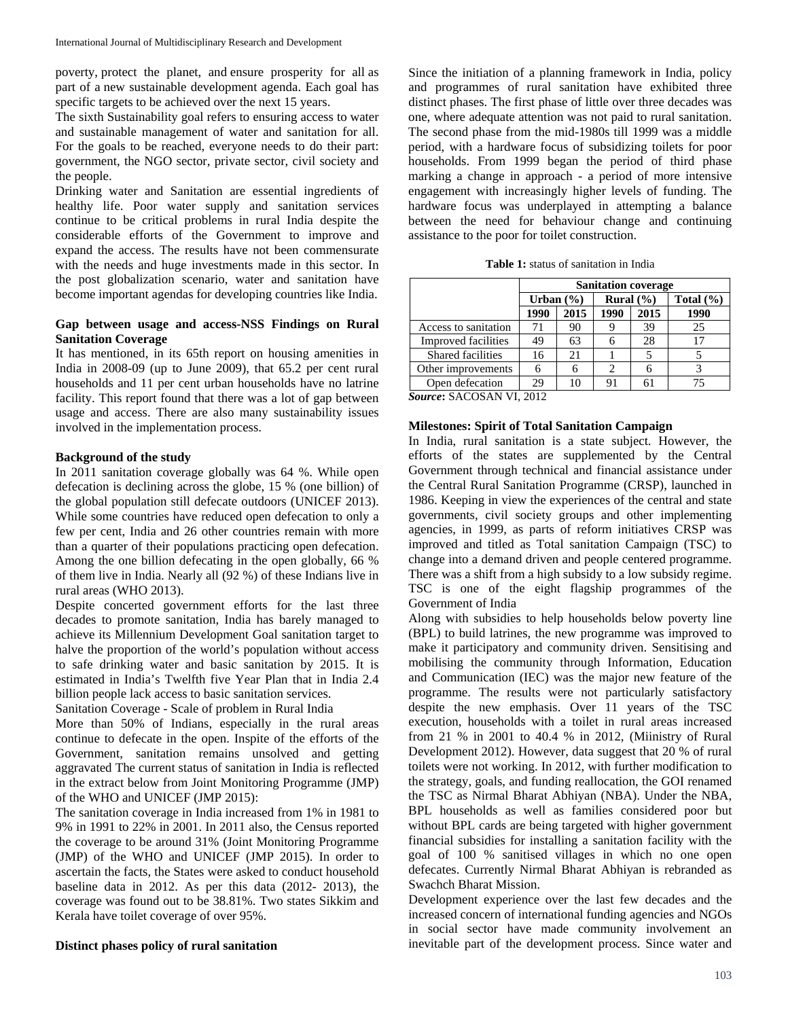poverty, protect the planet, and ensure prosperity for all as part of a new sustainable development agenda. Each goal has specific targets to be achieved over the next 15 years.

The sixth Sustainability goal refers to ensuring access to water and sustainable management of water and sanitation for all. For the goals to be reached, everyone needs to do their part: government, the NGO sector, private sector, civil society and the people.

Drinking water and Sanitation are essential ingredients of healthy life. Poor water supply and sanitation services continue to be critical problems in rural India despite the considerable efforts of the Government to improve and expand the access. The results have not been commensurate with the needs and huge investments made in this sector. In the post globalization scenario, water and sanitation have become important agendas for developing countries like India.

## **Gap between usage and access-NSS Findings on Rural Sanitation Coverage**

It has mentioned, in its 65th report on housing amenities in India in 2008-09 (up to June 2009), that 65.2 per cent rural households and 11 per cent urban households have no latrine facility. This report found that there was a lot of gap between usage and access. There are also many sustainability issues involved in the implementation process.

### **Background of the study**

In 2011 sanitation coverage globally was 64 %. While open defecation is declining across the globe, 15 % (one billion) of the global population still defecate outdoors (UNICEF 2013). While some countries have reduced open defecation to only a few per cent, India and 26 other countries remain with more than a quarter of their populations practicing open defecation. Among the one billion defecating in the open globally, 66 % of them live in India. Nearly all (92 %) of these Indians live in rural areas (WHO 2013).

Despite concerted government efforts for the last three decades to promote sanitation, India has barely managed to achieve its Millennium Development Goal sanitation target to halve the proportion of the world's population without access to safe drinking water and basic sanitation by 2015. It is estimated in India's Twelfth five Year Plan that in India 2.4 billion people lack access to basic sanitation services.

Sanitation Coverage - Scale of problem in Rural India

More than 50% of Indians, especially in the rural areas continue to defecate in the open. Inspite of the efforts of the Government, sanitation remains unsolved and getting aggravated The current status of sanitation in India is reflected in the extract below from Joint Monitoring Programme (JMP) of the WHO and UNICEF (JMP 2015):

The sanitation coverage in India increased from 1% in 1981 to 9% in 1991 to 22% in 2001. In 2011 also, the Census reported the coverage to be around 31% (Joint Monitoring Programme (JMP) of the WHO and UNICEF (JMP 2015). In order to ascertain the facts, the States were asked to conduct household baseline data in 2012. As per this data (2012- 2013), the coverage was found out to be 38.81%. Two states Sikkim and Kerala have toilet coverage of over 95%.

#### **Distinct phases policy of rural sanitation**

Since the initiation of a planning framework in India, policy and programmes of rural sanitation have exhibited three distinct phases. The first phase of little over three decades was one, where adequate attention was not paid to rural sanitation. The second phase from the mid-1980s till 1999 was a middle period, with a hardware focus of subsidizing toilets for poor households. From 1999 began the period of third phase marking a change in approach - a period of more intensive engagement with increasingly higher levels of funding. The hardware focus was underplayed in attempting a balance between the need for behaviour change and continuing assistance to the poor for toilet construction.

**Table 1:** status of sanitation in India

|                      | <b>Sanitation coverage</b> |      |               |      |               |
|----------------------|----------------------------|------|---------------|------|---------------|
|                      | Urban $(\% )$              |      | Rural $(\% )$ |      | Total $(\% )$ |
|                      | 1990                       | 2015 | 1990          | 2015 | 1990          |
| Access to sanitation | 71                         | 90   |               | 39   | 25            |
| Improved facilities  | 49                         | 63   |               | 28   | 17            |
| Shared facilities    | 16                         | 21   |               |      |               |
| Other improvements   |                            |      |               |      |               |
| Open defecation      | 29                         | 10   | 91            |      |               |

*Source***:** SACOSAN VI, 2012

### **Milestones: Spirit of Total Sanitation Campaign**

In India, rural sanitation is a state subject. However, the efforts of the states are supplemented by the Central Government through technical and financial assistance under the Central Rural Sanitation Programme (CRSP), launched in 1986. Keeping in view the experiences of the central and state governments, civil society groups and other implementing agencies, in 1999, as parts of reform initiatives CRSP was improved and titled as Total sanitation Campaign (TSC) to change into a demand driven and people centered programme. There was a shift from a high subsidy to a low subsidy regime. TSC is one of the eight flagship programmes of the Government of India

Along with subsidies to help households below poverty line (BPL) to build latrines, the new programme was improved to make it participatory and community driven. Sensitising and mobilising the community through Information, Education and Communication (IEC) was the major new feature of the programme. The results were not particularly satisfactory despite the new emphasis. Over 11 years of the TSC execution, households with a toilet in rural areas increased from 21 % in 2001 to 40.4 % in 2012, (Miinistry of Rural Development 2012). However, data suggest that 20 % of rural toilets were not working. In 2012, with further modification to the strategy, goals, and funding reallocation, the GOI renamed the TSC as Nirmal Bharat Abhiyan (NBA). Under the NBA, BPL households as well as families considered poor but without BPL cards are being targeted with higher government financial subsidies for installing a sanitation facility with the goal of 100 % sanitised villages in which no one open defecates. Currently Nirmal Bharat Abhiyan is rebranded as Swachch Bharat Mission.

Development experience over the last few decades and the increased concern of international funding agencies and NGOs in social sector have made community involvement an inevitable part of the development process. Since water and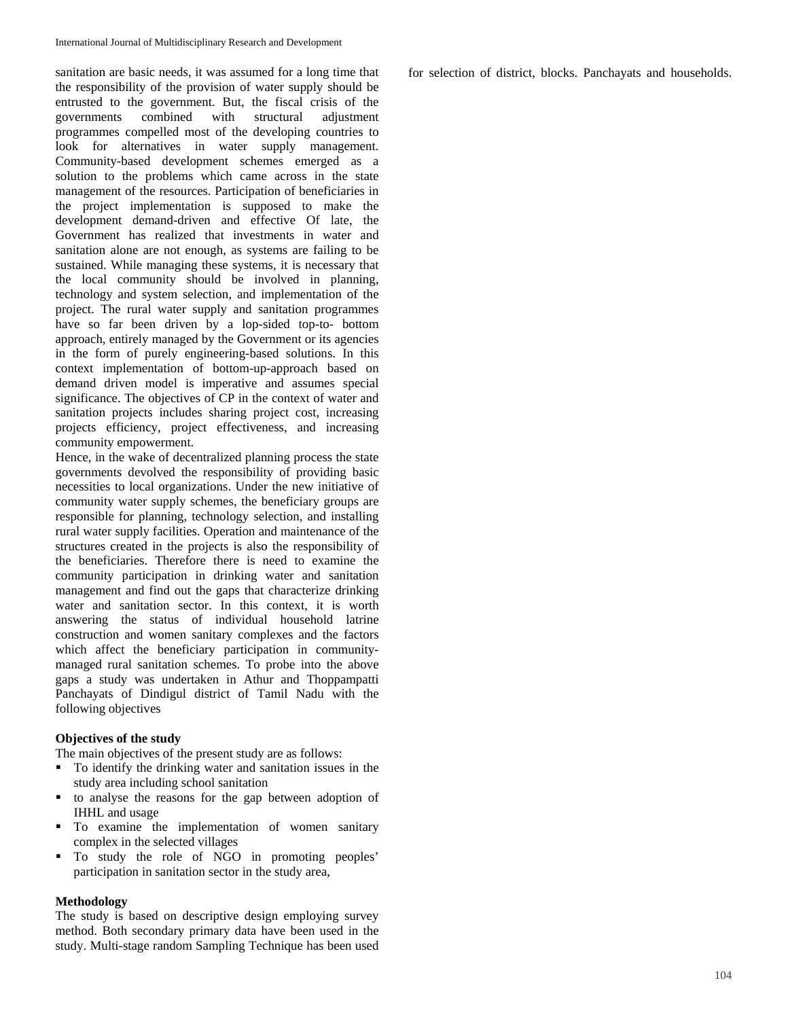sanitation are basic needs, it was assumed for a long time that the responsibility of the provision of water supply should be entrusted to the government. But, the fiscal crisis of the governments combined with structural adjustment programmes compelled most of the developing countries to look for alternatives in water supply management. Community-based development schemes emerged as a solution to the problems which came across in the state management of the resources. Participation of beneficiaries in the project implementation is supposed to make the development demand-driven and effective Of late, the Government has realized that investments in water and sanitation alone are not enough, as systems are failing to be sustained. While managing these systems, it is necessary that the local community should be involved in planning, technology and system selection, and implementation of the project. The rural water supply and sanitation programmes have so far been driven by a lop-sided top-to- bottom approach, entirely managed by the Government or its agencies in the form of purely engineering-based solutions. In this context implementation of bottom-up-approach based on demand driven model is imperative and assumes special significance. The objectives of CP in the context of water and sanitation projects includes sharing project cost, increasing projects efficiency, project effectiveness, and increasing community empowerment.

Hence, in the wake of decentralized planning process the state governments devolved the responsibility of providing basic necessities to local organizations. Under the new initiative of community water supply schemes, the beneficiary groups are responsible for planning, technology selection, and installing rural water supply facilities. Operation and maintenance of the structures created in the projects is also the responsibility of the beneficiaries. Therefore there is need to examine the community participation in drinking water and sanitation management and find out the gaps that characterize drinking water and sanitation sector. In this context, it is worth answering the status of individual household latrine construction and women sanitary complexes and the factors which affect the beneficiary participation in communitymanaged rural sanitation schemes. To probe into the above gaps a study was undertaken in Athur and Thoppampatti Panchayats of Dindigul district of Tamil Nadu with the following objectives

## **Objectives of the study**

The main objectives of the present study are as follows:

- To identify the drinking water and sanitation issues in the study area including school sanitation
- to analyse the reasons for the gap between adoption of IHHL and usage
- To examine the implementation of women sanitary complex in the selected villages
- To study the role of NGO in promoting peoples' participation in sanitation sector in the study area,

#### **Methodology**

The study is based on descriptive design employing survey method. Both secondary primary data have been used in the study. Multi-stage random Sampling Technique has been used

for selection of district, blocks. Panchayats and households.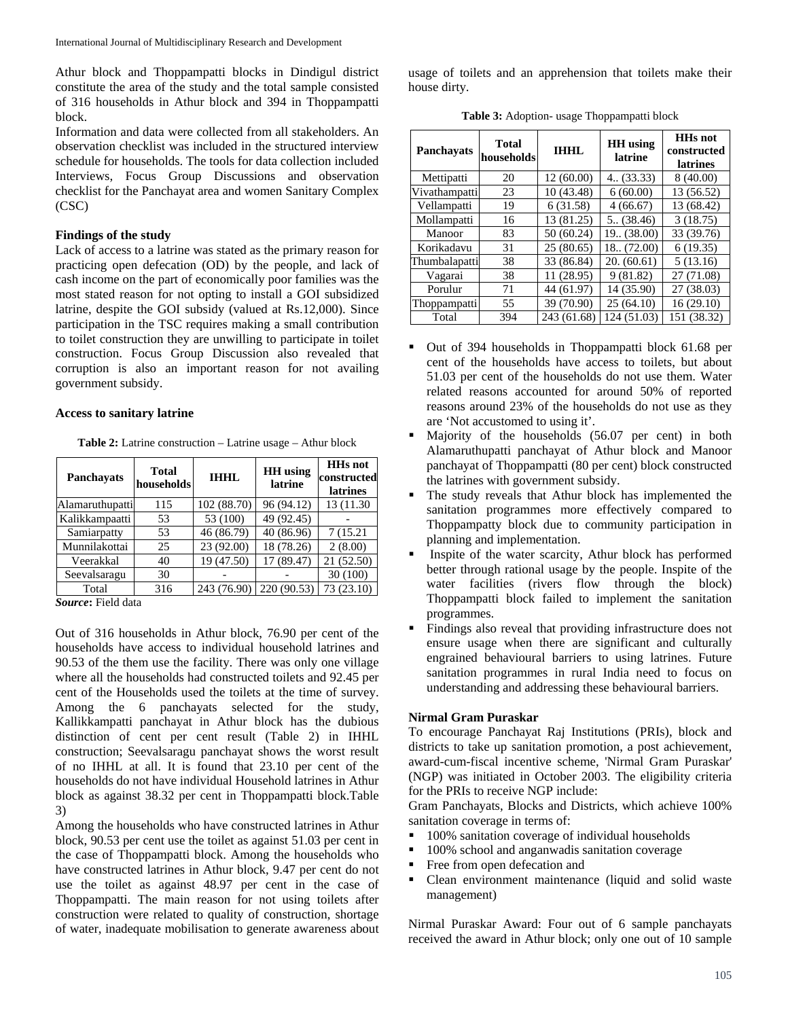Athur block and Thoppampatti blocks in Dindigul district constitute the area of the study and the total sample consisted of 316 households in Athur block and 394 in Thoppampatti block.

Information and data were collected from all stakeholders. An observation checklist was included in the structured interview schedule for households. The tools for data collection included Interviews, Focus Group Discussions and observation checklist for the Panchayat area and women Sanitary Complex (CSC)

#### **Findings of the study**

Lack of access to a latrine was stated as the primary reason for practicing open defecation (OD) by the people, and lack of cash income on the part of economically poor families was the most stated reason for not opting to install a GOI subsidized latrine, despite the GOI subsidy (valued at Rs.12,000). Since participation in the TSC requires making a small contribution to toilet construction they are unwilling to participate in toilet construction. Focus Group Discussion also revealed that corruption is also an important reason for not availing government subsidy.

### **Access to sanitary latrine**

**Table 2:** Latrine construction – Latrine usage – Athur block

| <b>Total</b><br>households | <b>THHL</b> | <b>HH</b> using<br>latrine | <b>HHs</b> not<br>constructed<br><b>latrines</b> |
|----------------------------|-------------|----------------------------|--------------------------------------------------|
| 115<br>Alamaruthupatti     | 102 (88.70) | 96 (94.12)                 | 13 (11.30)                                       |
| 53                         | 53 (100)    | 49 (92.45)                 |                                                  |
| 53                         | 46 (86.79)  | 40 (86.96)                 | 7 (15.21)                                        |
| 25                         | 23 (92.00)  | 18 (78.26)                 | 2(8.00)                                          |
| 40                         | 19 (47.50)  | 17 (89.47)                 | 21 (52.50)                                       |
| 30                         |             |                            | 30 (100)                                         |
| 316                        |             | 220 (90.53)                | 73 (23.10)                                       |
|                            |             |                            | 243 (76.90)                                      |

*Source***:** Field data

Out of 316 households in Athur block, 76.90 per cent of the households have access to individual household latrines and 90.53 of the them use the facility. There was only one village where all the households had constructed toilets and 92.45 per cent of the Households used the toilets at the time of survey. Among the 6 panchayats selected for the study, Kallikkampatti panchayat in Athur block has the dubious distinction of cent per cent result (Table 2) in IHHL construction; Seevalsaragu panchayat shows the worst result of no IHHL at all. It is found that 23.10 per cent of the households do not have individual Household latrines in Athur block as against 38.32 per cent in Thoppampatti block.Table 3)

Among the households who have constructed latrines in Athur block, 90.53 per cent use the toilet as against 51.03 per cent in the case of Thoppampatti block. Among the households who have constructed latrines in Athur block, 9.47 per cent do not use the toilet as against 48.97 per cent in the case of Thoppampatti. The main reason for not using toilets after construction were related to quality of construction, shortage of water, inadequate mobilisation to generate awareness about

usage of toilets and an apprehension that toilets make their house dirty.

**Table 3:** Adoption- usage Thoppampatti block

| Panchayats    | <b>Total</b><br>households | <b>IHHL</b> | <b>HH</b> using<br>latrine | <b>HHs</b> not<br>constructed<br><b>latrines</b> |
|---------------|----------------------------|-------------|----------------------------|--------------------------------------------------|
| Mettipatti    | 20                         | 12(60.00)   | 4. (33.33)                 | 8(40.00)                                         |
| Vivathampatti | 23                         | 10 (43.48)  | 6(60.00)                   | 13 (56.52)                                       |
| Vellampatti   | 19                         | 6(31.58)    | 4(66.67)                   | 13 (68.42)                                       |
| Mollampatti   | 16                         | 13 (81.25)  | 5(38.46)                   | 3(18.75)                                         |
| Manoor        | 83                         | 50 (60.24)  | 19 (38.00)                 | 33 (39.76)                                       |
| Korikadavu    | 31                         | 25(80.65)   | 18. (72.00)                | 6(19.35)                                         |
| Thumbalapatti | 38                         | 33 (86.84)  | 20. (60.61)                | 5(13.16)                                         |
| Vagarai       | 38                         | 11 (28.95)  | 9(81.82)                   | 27 (71.08)                                       |
| Porulur       | 71                         | 44 (61.97)  | 14 (35.90)                 | 27 (38.03)                                       |
| Thoppampatti  | 55                         | 39 (70.90)  | 25(64.10)                  | 16(29.10)                                        |
| Total         | 394                        | 243 (61.68) | 124 (51.03)                | 151 (38.32)                                      |

- Out of 394 households in Thoppampatti block 61.68 per cent of the households have access to toilets, but about 51.03 per cent of the households do not use them. Water related reasons accounted for around 50% of reported reasons around 23% of the households do not use as they are 'Not accustomed to using it'.
- Majority of the households (56.07 per cent) in both Alamaruthupatti panchayat of Athur block and Manoor panchayat of Thoppampatti (80 per cent) block constructed the latrines with government subsidy.
- The study reveals that Athur block has implemented the sanitation programmes more effectively compared to Thoppampatty block due to community participation in planning and implementation.
- Inspite of the water scarcity, Athur block has performed better through rational usage by the people. Inspite of the water facilities (rivers flow through the block) Thoppampatti block failed to implement the sanitation programmes.
- Findings also reveal that providing infrastructure does not ensure usage when there are significant and culturally engrained behavioural barriers to using latrines. Future sanitation programmes in rural India need to focus on understanding and addressing these behavioural barriers.

## **Nirmal Gram Puraskar**

To encourage Panchayat Raj Institutions (PRIs), block and districts to take up sanitation promotion, a post achievement, award-cum-fiscal incentive scheme, 'Nirmal Gram Puraskar' (NGP) was initiated in October 2003. The eligibility criteria for the PRIs to receive NGP include:

Gram Panchayats, Blocks and Districts, which achieve 100% sanitation coverage in terms of:

- 100% sanitation coverage of individual households
- 100% school and anganwadis sanitation coverage
- Free from open defecation and
- Clean environment maintenance (liquid and solid waste management)

Nirmal Puraskar Award: Four out of 6 sample panchayats received the award in Athur block; only one out of 10 sample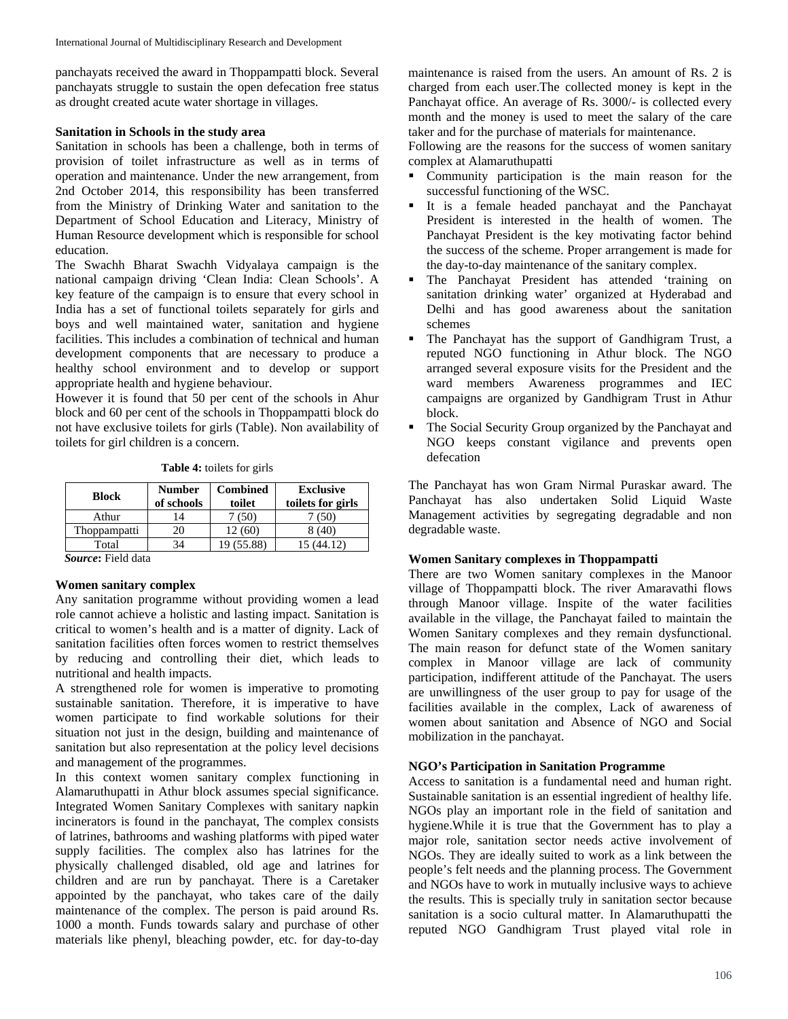panchayats received the award in Thoppampatti block. Several panchayats struggle to sustain the open defecation free status as drought created acute water shortage in villages.

#### **Sanitation in Schools in the study area**

Sanitation in schools has been a challenge, both in terms of provision of toilet infrastructure as well as in terms of operation and maintenance. Under the new arrangement, from 2nd October 2014, this responsibility has been transferred from the Ministry of Drinking Water and sanitation to the Department of School Education and Literacy, Ministry of Human Resource development which is responsible for school education.

The Swachh Bharat Swachh Vidyalaya campaign is the national campaign driving 'Clean India: Clean Schools'. A key feature of the campaign is to ensure that every school in India has a set of functional toilets separately for girls and boys and well maintained water, sanitation and hygiene facilities. This includes a combination of technical and human development components that are necessary to produce a healthy school environment and to develop or support appropriate health and hygiene behaviour.

However it is found that 50 per cent of the schools in Ahur block and 60 per cent of the schools in Thoppampatti block do not have exclusive toilets for girls (Table). Non availability of toilets for girl children is a concern.

| <b>Table 4:</b> toilets for girls |  |  |  |  |
|-----------------------------------|--|--|--|--|
|-----------------------------------|--|--|--|--|

| <b>Block</b> | <b>Number</b><br>of schools | <b>Combined</b><br>toilet | <b>Exclusive</b><br>toilets for girls |
|--------------|-----------------------------|---------------------------|---------------------------------------|
| Athur        | 14                          | 7 (50)                    | (50)                                  |
| Thoppampatti | 20                          | 12 (60)                   | 8 (40)                                |
| Total        | 34                          | 19 (55.88)                | 15 (44.12)                            |
| $\sim$<br>.  |                             |                           |                                       |

*Source***:** Field data

#### **Women sanitary complex**

Any sanitation programme without providing women a lead role cannot achieve a holistic and lasting impact. Sanitation is critical to women's health and is a matter of dignity. Lack of sanitation facilities often forces women to restrict themselves by reducing and controlling their diet, which leads to nutritional and health impacts.

A strengthened role for women is imperative to promoting sustainable sanitation. Therefore, it is imperative to have women participate to find workable solutions for their situation not just in the design, building and maintenance of sanitation but also representation at the policy level decisions and management of the programmes.

In this context women sanitary complex functioning in Alamaruthupatti in Athur block assumes special significance. Integrated Women Sanitary Complexes with sanitary napkin incinerators is found in the panchayat, The complex consists of latrines, bathrooms and washing platforms with piped water supply facilities. The complex also has latrines for the physically challenged disabled, old age and latrines for children and are run by panchayat. There is a Caretaker appointed by the panchayat, who takes care of the daily maintenance of the complex. The person is paid around Rs. 1000 a month. Funds towards salary and purchase of other materials like phenyl, bleaching powder, etc. for day-to-day

maintenance is raised from the users. An amount of Rs. 2 is charged from each user.The collected money is kept in the Panchayat office. An average of Rs. 3000/- is collected every month and the money is used to meet the salary of the care taker and for the purchase of materials for maintenance.

Following are the reasons for the success of women sanitary complex at Alamaruthupatti

- **Community participation is the main reason for the** successful functioning of the WSC.
- It is a female headed panchayat and the Panchayat President is interested in the health of women. The Panchayat President is the key motivating factor behind the success of the scheme. Proper arrangement is made for the day-to-day maintenance of the sanitary complex.
- The Panchayat President has attended 'training on sanitation drinking water' organized at Hyderabad and Delhi and has good awareness about the sanitation schemes
- The Panchayat has the support of Gandhigram Trust, a reputed NGO functioning in Athur block. The NGO arranged several exposure visits for the President and the ward members Awareness programmes and IEC campaigns are organized by Gandhigram Trust in Athur block.
- The Social Security Group organized by the Panchayat and NGO keeps constant vigilance and prevents open defecation

The Panchayat has won Gram Nirmal Puraskar award. The Panchayat has also undertaken Solid Liquid Waste Management activities by segregating degradable and non degradable waste.

## **Women Sanitary complexes in Thoppampatti**

There are two Women sanitary complexes in the Manoor village of Thoppampatti block. The river Amaravathi flows through Manoor village. Inspite of the water facilities available in the village, the Panchayat failed to maintain the Women Sanitary complexes and they remain dysfunctional. The main reason for defunct state of the Women sanitary complex in Manoor village are lack of community participation, indifferent attitude of the Panchayat. The users are unwillingness of the user group to pay for usage of the facilities available in the complex, Lack of awareness of women about sanitation and Absence of NGO and Social mobilization in the panchayat.

#### **NGO's Participation in Sanitation Programme**

Access to sanitation is a fundamental need and human right. Sustainable sanitation is an essential ingredient of healthy life. NGOs play an important role in the field of sanitation and hygiene.While it is true that the Government has to play a major role, sanitation sector needs active involvement of NGOs. They are ideally suited to work as a link between the people's felt needs and the planning process. The Government and NGOs have to work in mutually inclusive ways to achieve the results. This is specially truly in sanitation sector because sanitation is a socio cultural matter. In Alamaruthupatti the reputed NGO Gandhigram Trust played vital role in